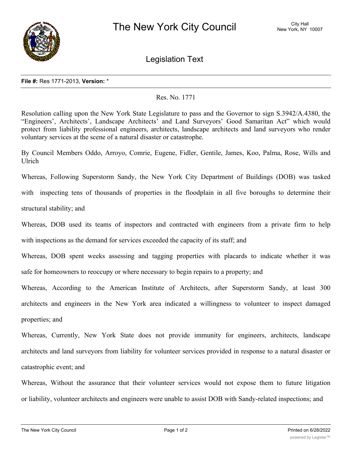

Legislation Text

## **File #:** Res 1771-2013, **Version:** \*

## Res. No. 1771

Resolution calling upon the New York State Legislature to pass and the Governor to sign S.3942/A.4380, the "Engineers', Architects', Landscape Architects' and Land Surveyors' Good Samaritan Act" which would protect from liability professional engineers, architects, landscape architects and land surveyors who render voluntary services at the scene of a natural disaster or catastrophe.

By Council Members Oddo, Arroyo, Comrie, Eugene, Fidler, Gentile, James, Koo, Palma, Rose, Wills and Ulrich

Whereas, Following Superstorm Sandy, the New York City Department of Buildings (DOB) was tasked with inspecting tens of thousands of properties in the floodplain in all five boroughs to determine their structural stability; and

Whereas, DOB used its teams of inspectors and contracted with engineers from a private firm to help with inspections as the demand for services exceeded the capacity of its staff; and

Whereas, DOB spent weeks assessing and tagging properties with placards to indicate whether it was safe for homeowners to reoccupy or where necessary to begin repairs to a property; and

Whereas, According to the American Institute of Architects, after Superstorm Sandy, at least 300 architects and engineers in the New York area indicated a willingness to volunteer to inspect damaged properties; and

Whereas, Currently, New York State does not provide immunity for engineers, architects, landscape architects and land surveyors from liability for volunteer services provided in response to a natural disaster or catastrophic event; and

Whereas, Without the assurance that their volunteer services would not expose them to future litigation or liability, volunteer architects and engineers were unable to assist DOB with Sandy-related inspections; and